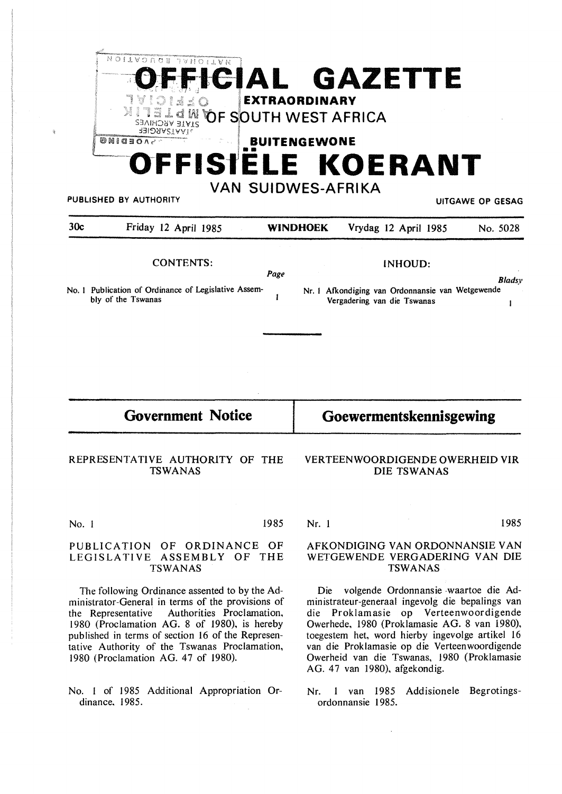

| 30 <sub>c</sub> | Friday 12 April 1985                                                       | <b>WINDHOEK</b> | Vrydag 12 April 1985<br>No. 5028                                                |        |
|-----------------|----------------------------------------------------------------------------|-----------------|---------------------------------------------------------------------------------|--------|
|                 | CONTENTS:                                                                  | Page            | INHOUD:                                                                         |        |
|                 | No. 1 Publication of Ordinance of Legislative Assem-<br>bly of the Tswanas |                 | Nr. 1 Afkondiging van Ordonnansie van Wetgewende<br>Vergadering van die Tswanas | Bladsv |

**Government Notice** 

Goewermentskennisgewing

# REPRESENTATIVE AUTHORITY OF THE **TSWANAS**

VERTEENWOORDIGENDE OWERHEID VIR DIE TSWANAS

No. 1

#### PUBLICATION OF ORDINANCE OF LEGISLATIVE ASSEMBLY OF THE **TSWANAS**

The following Ordinance assented to by the Administrator-General in terms of the provisions of the Representative Authorities Proclamation, 1980 (Proclamation AG. 8 of 1980), is hereby published in terms of section 16 of the Representative Authority of the Tswanas Proclamation, 1980 (Proclamation AG. 47 of 1980).

No. 1 of 1985 Additional Appropriation Ordinance, 1985.

Nr. 1

1985

1985

#### AFKONDIGING VAN ORDONNANSIE VAN WETGEWENDE VERGADERING VAN DIE **TSWANAS**

Die volgende Ordonnansie waartoe die Administrateur-generaal ingevolg die bepalings van die Proklamasie op Verteenwoordigende Owerhede, 1980 (Proklamasie AG. 8 van 1980), toegestem het, word hierby ingevolge artikel 16 van die Proklamasie op die Verteenwoordigende Owerheid van die Tswanas, 1980 (Proklamasie AG. 47 van 1980), afgekondig.

Nr. 1 van 1985 Addisionele Begrotingsordonnansie 1985.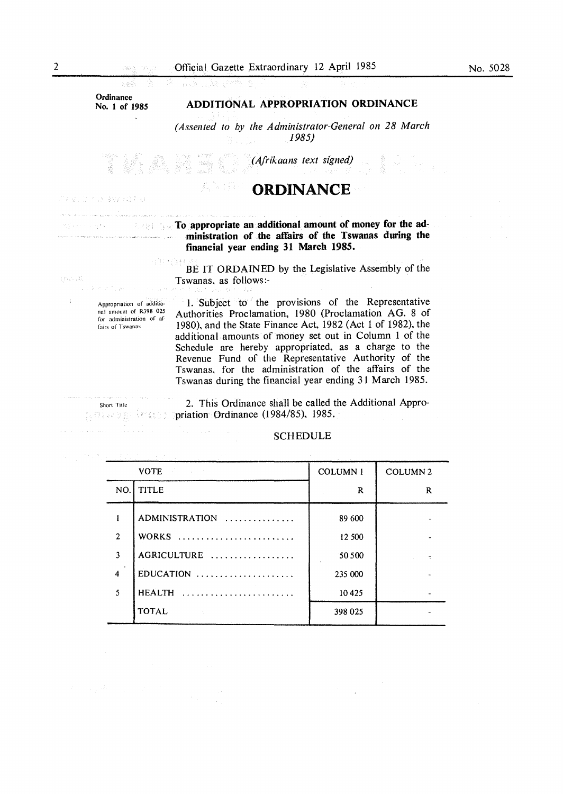**Ordinance No. 1 of 1985** 

ing an birthop gay hold ex

化反射 经公司保险人

BALL ER

al cando

债

# **ADDITIONAL APPROPRIATION ORDINANCE**

*(Assented to by the Administrator-General on 28 March 1985)* 

*(Afrikaans text signed)* 

#### 부모가 **ORDINANCE**

**To appropriate an additional amount of money for the administration of the affairs of the Tswanas during the**   $\sim 10^{-1}$ **financial year ending 31 March 1985.** 

> **STERN** BE IT ORDAINED by the Legislative Assembly of the Tswanas, as follows:-

Appropriation of addilio· nal amount of R398 025 for administration of affairs of Tswanas

1. Subject to the provisions of the Representative Authorities Proclamation, 1980 (Proclamation AG. 8 of 1980), and the State Finance Act, 1982 (Act 1 of 1982), the additional amounts of money set out in Column 1 of the Schedule are hereby appropriated, as a charge to the Revenue Fund of the Representative Authority of the Tswanas, for the administration of the affairs of the Tswanas during the financial year ending 31 March 1985.

Short Title ひくみつ 路

2. This Ordinance shall be called the Additional Appropriation Ordinance (1984/85), 1985. 经数据

# SCHEDULE

|                | <b>VOTE</b>    | <b>COLUMN1</b> | <b>COLUMN2</b> |
|----------------|----------------|----------------|----------------|
|                | NO. TITLE      | R              | R              |
|                | ADMINISTRATION | 89 600         |                |
| $\overline{2}$ | WORKS          | 12 500         |                |
| 3              | AGRICULTURE    | 50 500         |                |
| 4              | EDUCATION      | 235 000        |                |
| 5              | HEALTH         | 10425          |                |
|                | <b>TOTAL</b>   | 398 025        |                |

No. 5028